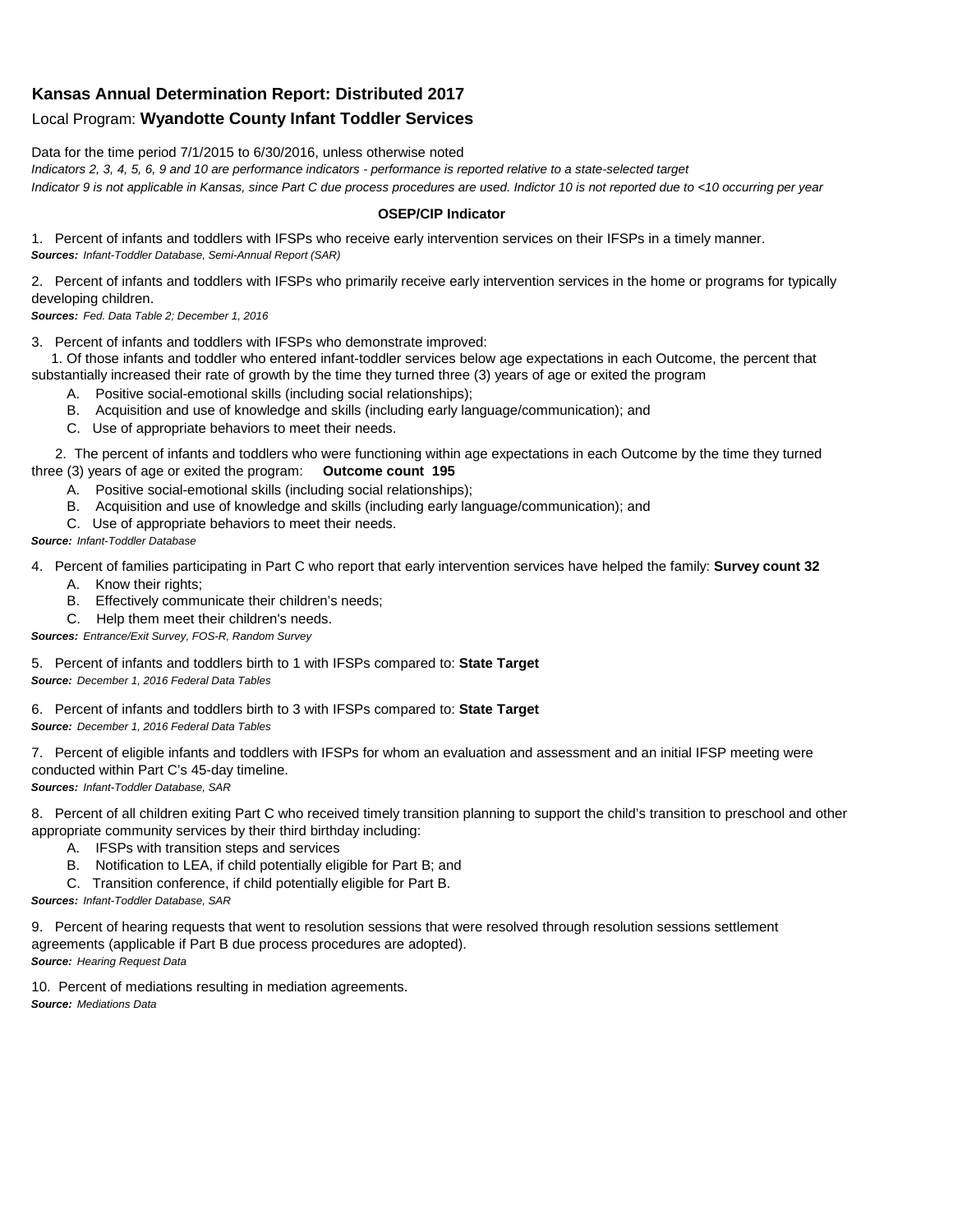## **Kansas Annual Determination Report: Distributed 2017**

## Local Program: **Wyandotte County Infant Toddler Services**

Data for the time period 7/1/2015 to 6/30/2016, unless otherwise noted

*Indicators 2, 3, 4, 5, 6, 9 and 10 are performance indicators - performance is reported relative to a state-selected target Indicator 9 is not applicable in Kansas, since Part C due process procedures are used. Indictor 10 is not reported due to <10 occurring per year*

## **OSEP/CIP Indicator**

1. Percent of infants and toddlers with IFSPs who receive early intervention services on their IFSPs in a timely manner. *Sources: Infant-Toddler Database, Semi-Annual Report (SAR)* 

2. Percent of infants and toddlers with IFSPs who primarily receive early intervention services in the home or programs for typically developing children.

*Sources: Fed. Data Table 2; December 1, 2016*

3. Percent of infants and toddlers with IFSPs who demonstrate improved:

 1. Of those infants and toddler who entered infant-toddler services below age expectations in each Outcome, the percent that substantially increased their rate of growth by the time they turned three (3) years of age or exited the program

- A. Positive social-emotional skills (including social relationships);
- B. Acquisition and use of knowledge and skills (including early language/communication); and
- C. Use of appropriate behaviors to meet their needs.

 2. The percent of infants and toddlers who were functioning within age expectations in each Outcome by the time they turned three (3) years of age or exited the program: **Outcome count 195**

- A. Positive social-emotional skills (including social relationships);
- B. Acquisition and use of knowledge and skills (including early language/communication); and
- C. Use of appropriate behaviors to meet their needs.

## *Source: Infant-Toddler Database*

4. Percent of families participating in Part C who report that early intervention services have helped the family: **Survey count 32**

- A. Know their rights;
- B. Effectively communicate their children's needs;
- C. Help them meet their children's needs.
- *Sources: Entrance/Exit Survey, FOS-R, Random Survey*

5. Percent of infants and toddlers birth to 1 with IFSPs compared to: **State Target** *Source: December 1, 2016 Federal Data Tables*

6. Percent of infants and toddlers birth to 3 with IFSPs compared to: **State Target** *Source: December 1, 2016 Federal Data Tables*

7. Percent of eligible infants and toddlers with IFSPs for whom an evaluation and assessment and an initial IFSP meeting were conducted within Part C's 45-day timeline.

*Sources: Infant-Toddler Database, SAR*

8. Percent of all children exiting Part C who received timely transition planning to support the child's transition to preschool and other appropriate community services by their third birthday including:

- A. IFSPs with transition steps and services
- B. Notification to LEA, if child potentially eligible for Part B; and
- C. Transition conference, if child potentially eligible for Part B.

*Sources: Infant-Toddler Database, SAR*

9. Percent of hearing requests that went to resolution sessions that were resolved through resolution sessions settlement agreements (applicable if Part B due process procedures are adopted). *Source: Hearing Request Data*

10. Percent of mediations resulting in mediation agreements. *Source: Mediations Data*